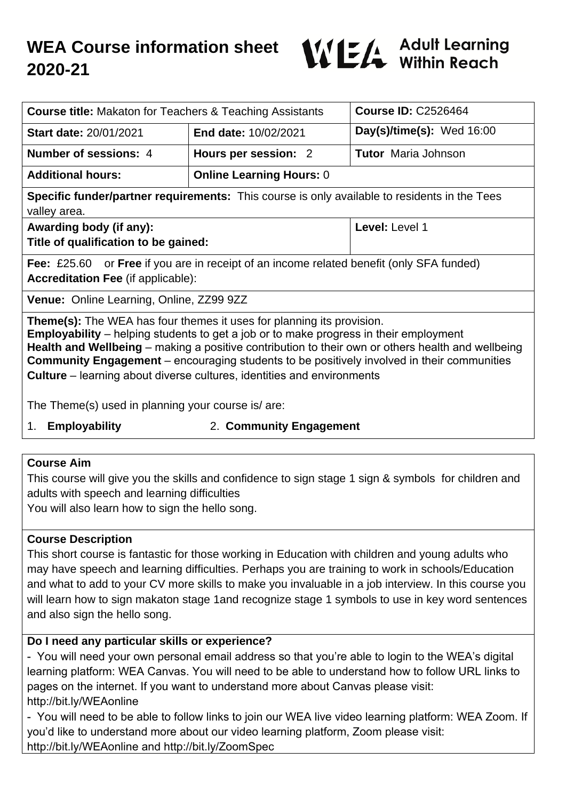

| <b>Course title:</b> Makaton for Teachers & Teaching Assistants                                                                                                                                                                                                                                                                                                                                                                                                         |                                 | <b>Course ID: C2526464</b>  |
|-------------------------------------------------------------------------------------------------------------------------------------------------------------------------------------------------------------------------------------------------------------------------------------------------------------------------------------------------------------------------------------------------------------------------------------------------------------------------|---------------------------------|-----------------------------|
| <b>Start date: 20/01/2021</b>                                                                                                                                                                                                                                                                                                                                                                                                                                           | <b>End date: 10/02/2021</b>     | Day(s)/time(s): $Wed 16:00$ |
| Number of sessions: 4                                                                                                                                                                                                                                                                                                                                                                                                                                                   | Hours per session: 2            | <b>Tutor</b> Maria Johnson  |
| <b>Additional hours:</b>                                                                                                                                                                                                                                                                                                                                                                                                                                                | <b>Online Learning Hours: 0</b> |                             |
| Specific funder/partner requirements: This course is only available to residents in the Tees<br>valley area.                                                                                                                                                                                                                                                                                                                                                            |                                 |                             |
| Awarding body (if any):<br>Title of qualification to be gained:                                                                                                                                                                                                                                                                                                                                                                                                         |                                 | Level: Level 1              |
| <b>Fee:</b> £25.60 or <b>Free</b> if you are in receipt of an income related benefit (only SFA funded)<br><b>Accreditation Fee (if applicable):</b>                                                                                                                                                                                                                                                                                                                     |                                 |                             |
| <b>Venue:</b> Online Learning, Online, ZZ99 9ZZ                                                                                                                                                                                                                                                                                                                                                                                                                         |                                 |                             |
| <b>Theme(s):</b> The WEA has four themes it uses for planning its provision.<br><b>Employability</b> – helping students to get a job or to make progress in their employment<br>Health and Wellbeing – making a positive contribution to their own or others health and wellbeing<br><b>Community Engagement</b> – encouraging students to be positively involved in their communities<br><b>Culture</b> – learning about diverse cultures, identities and environments |                                 |                             |
| The Theme(s) used in planning your course is/are:                                                                                                                                                                                                                                                                                                                                                                                                                       |                                 |                             |
|                                                                                                                                                                                                                                                                                                                                                                                                                                                                         |                                 |                             |

- 
- 1. **Employability** 2. **Community Engagement**

## **Course Aim**

This course will give you the skills and confidence to sign stage 1 sign & symbols for children and adults with speech and learning difficulties

You will also learn how to sign the hello song.

## **Course Description**

This short course is fantastic for those working in Education with children and young adults who may have speech and learning difficulties. Perhaps you are training to work in schools/Education and what to add to your CV more skills to make you invaluable in a job interview. In this course you will learn how to sign makaton stage 1and recognize stage 1 symbols to use in key word sentences and also sign the hello song.

## **Do I need any particular skills or experience?**

- You will need your own personal email address so that you're able to login to the WEA's digital learning platform: WEA Canvas. You will need to be able to understand how to follow URL links to pages on the internet. If you want to understand more about Canvas please visit: http://bit.ly/WEAonline

- You will need to be able to follow links to join our WEA live video learning platform: WEA Zoom. If you'd like to understand more about our video learning platform, Zoom please visit: http://bit.ly/WEAonline and http://bit.ly/ZoomSpec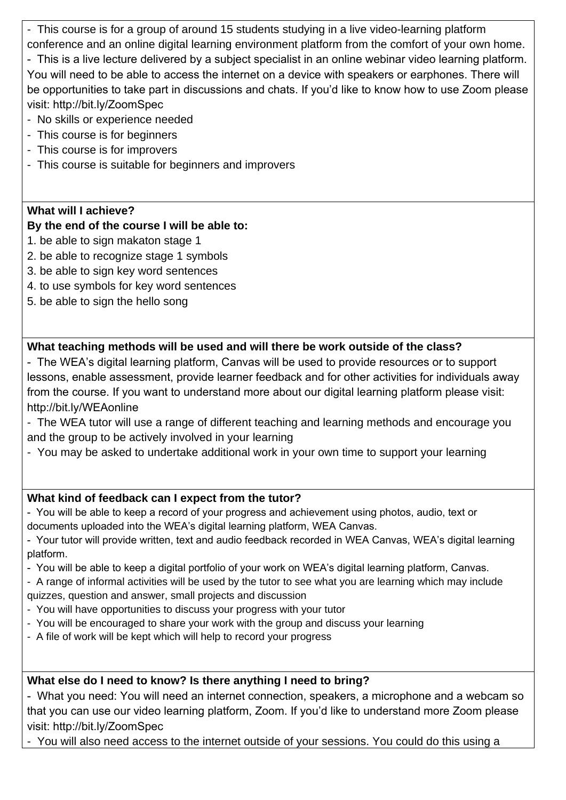- This course is for a group of around 15 students studying in a live video-learning platform conference and an online digital learning environment platform from the comfort of your own home.

- This is a live lecture delivered by a subject specialist in an online webinar video learning platform. You will need to be able to access the internet on a device with speakers or earphones. There will be opportunities to take part in discussions and chats. If you'd like to know how to use Zoom please visit: http://bit.ly/ZoomSpec

- No skills or experience needed
- This course is for beginners
- This course is for improvers
- This course is suitable for beginners and improvers

# **What will I achieve?**

# **By the end of the course I will be able to:**

- 1. be able to sign makaton stage 1
- 2. be able to recognize stage 1 symbols
- 3. be able to sign key word sentences
- 4. to use symbols for key word sentences
- 5. be able to sign the hello song

# **What teaching methods will be used and will there be work outside of the class?**

- The WEA's digital learning platform, Canvas will be used to provide resources or to support lessons, enable assessment, provide learner feedback and for other activities for individuals away from the course. If you want to understand more about our digital learning platform please visit: http://bit.ly/WEAonline
- The WEA tutor will use a range of different teaching and learning methods and encourage you and the group to be actively involved in your learning
- You may be asked to undertake additional work in your own time to support your learning

# **What kind of feedback can I expect from the tutor?**

- You will be able to keep a record of your progress and achievement using photos, audio, text or documents uploaded into the WEA's digital learning platform, WEA Canvas.

- Your tutor will provide written, text and audio feedback recorded in WEA Canvas, WEA's digital learning platform.

- You will be able to keep a digital portfolio of your work on WEA's digital learning platform, Canvas.

- A range of informal activities will be used by the tutor to see what you are learning which may include quizzes, question and answer, small projects and discussion

- You will have opportunities to discuss your progress with your tutor
- You will be encouraged to share your work with the group and discuss your learning
- A file of work will be kept which will help to record your progress

# **What else do I need to know? Is there anything I need to bring?**

- What you need: You will need an internet connection, speakers, a microphone and a webcam so that you can use our video learning platform, Zoom. If you'd like to understand more Zoom please visit: http://bit.ly/ZoomSpec

- You will also need access to the internet outside of your sessions. You could do this using a